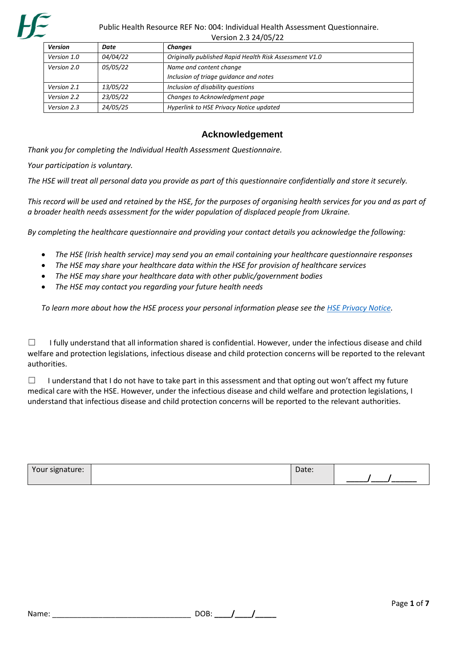

| <b>Version</b> | Date            | <b>Changes</b>                                         |
|----------------|-----------------|--------------------------------------------------------|
| Version 1.0    | 04/04/22        | Originally published Rapid Health Risk Assessment V1.0 |
| Version 2.0    | 05/05/22        | Name and content change                                |
|                |                 | Inclusion of triage guidance and notes                 |
| Version 2.1    | <i>13/05/22</i> | Inclusion of disability questions                      |
| Version 2.2    | 23/05/22        | Changes to Acknowledgment page                         |
| Version 2.3    | 24/05/25        | Hyperlink to HSE Privacy Notice updated                |

## **Acknowledgement**

*Thank you for completing the Individual Health Assessment Questionnaire.*

*Your participation is voluntary.*

*The HSE will treat all personal data you provide as part of this questionnaire confidentially and store it securely.* 

*This record will be used and retained by the HSE, for the purposes of organising health services for you and as part of a broader health needs assessment for the wider population of displaced people from Ukraine.*

*By completing the healthcare questionnaire and providing your contact details you acknowledge the following:*

- *The HSE (Irish health service) may send you an email containing your healthcare questionnaire responses*
- *The HSE may share your healthcare data within the HSE for provision of healthcare services*
- *The HSE may share your healthcare data with other public/government bodies*
- *The HSE may contact you regarding your future health needs*

*To learn more about how the HSE process your personal information please see the [HSE Privacy Notice.](https://www2.hse.ie/file-library/data-protection/hse-privacy-notice-patients-service-users.pdf#:~:text=The%20Health%20Service%20Executive%20%28HSE%29%20must%20comply%20with,the%20day%20to%20day%20running%20of%20the%20HSE.)* 

☐I fully understand that all information shared is confidential. However, under the infectious disease and child welfare and protection legislations, infectious disease and child protection concerns will be reported to the relevant authorities.

□ I understand that I do not have to take part in this assessment and that opting out won't affect my future medical care with the HSE. However, under the infectious disease and child welfare and protection legislations, I understand that infectious disease and child protection concerns will be reported to the relevant authorities.

| Your signature: | Date: |  |
|-----------------|-------|--|
|                 |       |  |

| DOB: |  |  |
|------|--|--|
|      |  |  |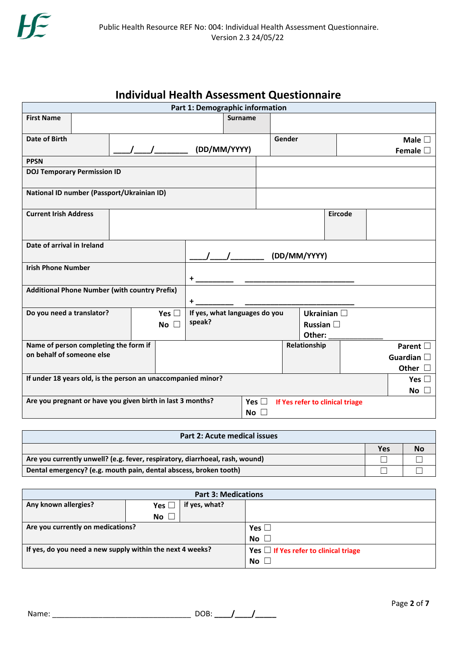# **Individual Health Assessment Questionnaire**

| Part 1: Demographic information                              |                                                            |                     |                             |                               |        |                                 |                |                    |
|--------------------------------------------------------------|------------------------------------------------------------|---------------------|-----------------------------|-------------------------------|--------|---------------------------------|----------------|--------------------|
| <b>First Name</b>                                            |                                                            |                     |                             | <b>Surname</b>                |        |                                 |                |                    |
|                                                              |                                                            |                     |                             |                               |        |                                 |                |                    |
| Date of Birth                                                |                                                            |                     |                             |                               | Gender |                                 |                | Male $\square$     |
|                                                              |                                                            |                     | (DD/MM/YYYY)                |                               |        |                                 |                | Female $\square$   |
| <b>PPSN</b>                                                  |                                                            |                     |                             |                               |        |                                 |                |                    |
|                                                              | <b>DOJ Temporary Permission ID</b>                         |                     |                             |                               |        |                                 |                |                    |
|                                                              | National ID number (Passport/Ukrainian ID)                 |                     |                             |                               |        |                                 |                |                    |
| <b>Current Irish Address</b>                                 |                                                            |                     |                             |                               |        |                                 | <b>Eircode</b> |                    |
| Date of arrival in Ireland                                   |                                                            |                     |                             |                               |        |                                 |                |                    |
|                                                              |                                                            |                     | (DD/MM/YYYY)                |                               |        |                                 |                |                    |
| <b>Irish Phone Number</b>                                    |                                                            |                     |                             |                               |        |                                 |                |                    |
|                                                              |                                                            |                     | +                           |                               |        |                                 |                |                    |
| <b>Additional Phone Number (with country Prefix)</b>         |                                                            |                     |                             |                               |        |                                 |                |                    |
|                                                              |                                                            |                     | +                           |                               |        |                                 |                |                    |
| Do you need a translator?                                    |                                                            | Yes $\square$       |                             | If yes, what languages do you |        | Ukrainian $\square$             |                |                    |
|                                                              |                                                            | $\Box$<br><b>No</b> | speak?<br>Russian $\square$ |                               |        |                                 |                |                    |
|                                                              |                                                            |                     |                             |                               |        | Other:                          |                |                    |
|                                                              | Name of person completing the form if                      |                     |                             |                               |        | Relationship                    |                | Parent $\square$   |
| on behalf of someone else                                    |                                                            |                     |                             |                               |        |                                 |                | Guardian $\square$ |
|                                                              |                                                            |                     |                             |                               |        |                                 |                | Other $\square$    |
| If under 18 years old, is the person an unaccompanied minor? |                                                            |                     |                             |                               |        |                                 |                | Yes $\square$      |
|                                                              |                                                            |                     |                             |                               |        |                                 |                | No $\square$       |
|                                                              | Are you pregnant or have you given birth in last 3 months? |                     |                             | Yes $\Box$                    |        | If Yes refer to clinical triage |                |                    |
|                                                              |                                                            |                     |                             | No $\square$                  |        |                                 |                |                    |
|                                                              |                                                            |                     |                             |                               |        |                                 |                |                    |

| <b>Part 2: Acute medical issues</b>                                          |     |           |  |  |  |  |
|------------------------------------------------------------------------------|-----|-----------|--|--|--|--|
|                                                                              | Yes | <b>No</b> |  |  |  |  |
| Are you currently unwell? (e.g. fever, respiratory, diarrhoeal, rash, wound) |     |           |  |  |  |  |
| Dental emergency? (e.g. mouth pain, dental abscess, broken tooth)            |     |           |  |  |  |  |

| <b>Part 3: Medications</b>                                |               |                                            |           |  |  |
|-----------------------------------------------------------|---------------|--------------------------------------------|-----------|--|--|
| Any known allergies?                                      | Yes $\square$ | if yes, what?                              |           |  |  |
|                                                           | <b>No</b>     |                                            |           |  |  |
| Are you currently on medications?                         |               | Yes $\Box$                                 |           |  |  |
|                                                           |               |                                            | No $\Box$ |  |  |
| If yes, do you need a new supply within the next 4 weeks? |               | Yes $\Box$ If Yes refer to clinical triage |           |  |  |
|                                                           |               |                                            | No $\Box$ |  |  |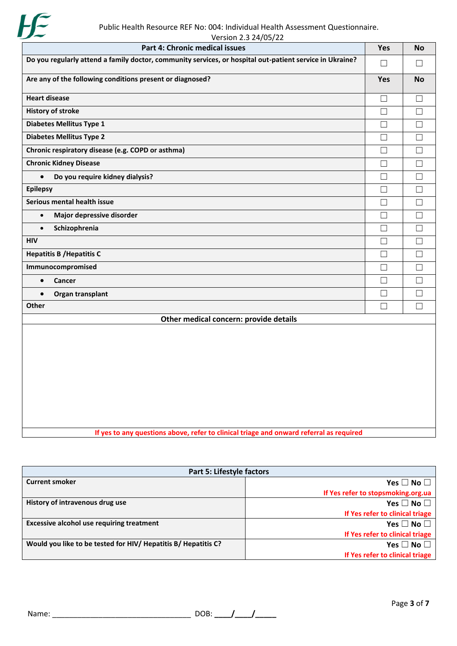

| Public Health Resource KEF NO. 004. Individual Health Assessment Questionnale.<br>Version 2.3 24/05/22   |            |           |  |  |  |
|----------------------------------------------------------------------------------------------------------|------------|-----------|--|--|--|
| Part 4: Chronic medical issues                                                                           | Yes        | <b>No</b> |  |  |  |
| Do you regularly attend a family doctor, community services, or hospital out-patient service in Ukraine? | $\Box$     | $\Box$    |  |  |  |
| Are any of the following conditions present or diagnosed?                                                | <b>Yes</b> | <b>No</b> |  |  |  |
| <b>Heart disease</b>                                                                                     | $\Box$     | $\Box$    |  |  |  |
| <b>History of stroke</b>                                                                                 | $\Box$     | $\Box$    |  |  |  |
| Diabetes Mellitus Type 1                                                                                 | $\Box$     | ш         |  |  |  |
| <b>Diabetes Mellitus Type 2</b>                                                                          | $\Box$     | $\Box$    |  |  |  |
| Chronic respiratory disease (e.g. COPD or asthma)                                                        | П          | $\Box$    |  |  |  |
| <b>Chronic Kidney Disease</b>                                                                            | П          | $\Box$    |  |  |  |
| $\bullet$<br>Do you require kidney dialysis?                                                             | $\Box$     | $\Box$    |  |  |  |
| <b>Epilepsy</b>                                                                                          | $\Box$     | $\Box$    |  |  |  |
| Serious mental health issue                                                                              | $\Box$     | $\Box$    |  |  |  |
| Major depressive disorder<br>$\bullet$                                                                   | П          | ш         |  |  |  |
| Schizophrenia<br>$\bullet$                                                                               | $\Box$     | $\Box$    |  |  |  |
| <b>HIV</b>                                                                                               | $\Box$     | $\Box$    |  |  |  |
| <b>Hepatitis B / Hepatitis C</b>                                                                         | $\Box$     | $\Box$    |  |  |  |
| Immunocompromised                                                                                        | $\Box$     | $\Box$    |  |  |  |
| Cancer<br>$\bullet$                                                                                      | П          | П         |  |  |  |
| Organ transplant<br>$\bullet$                                                                            | $\Box$     | П         |  |  |  |
| Other                                                                                                    | $\Box$     | $\Box$    |  |  |  |
| Other medical concern: provide details                                                                   |            |           |  |  |  |
|                                                                                                          |            |           |  |  |  |

**If yes to any questions above, refer to clinical triage and onward referral as required**

| <b>Part 5: Lifestyle factors</b>                               |                                    |  |  |  |  |
|----------------------------------------------------------------|------------------------------------|--|--|--|--|
| <b>Current smoker</b>                                          | Yes $\Box$ No $\Box$               |  |  |  |  |
|                                                                | If Yes refer to stopsmoking.org.ua |  |  |  |  |
| History of intravenous drug use                                | Yes $\square$ No $\square$         |  |  |  |  |
|                                                                | If Yes refer to clinical triage    |  |  |  |  |
| <b>Excessive alcohol use requiring treatment</b>               | Yes $\square$ No $\square$         |  |  |  |  |
|                                                                | If Yes refer to clinical triage    |  |  |  |  |
| Would you like to be tested for HIV/ Hepatitis B/ Hepatitis C? | Yes $\square$ No $\square$         |  |  |  |  |
|                                                                | If Yes refer to clinical triage    |  |  |  |  |

Name: \_\_\_\_\_\_\_\_\_\_\_\_\_\_\_\_\_\_\_\_\_\_\_\_\_\_\_\_\_\_\_\_\_ DOB: **\_\_\_\_/\_\_\_\_/\_\_\_\_\_**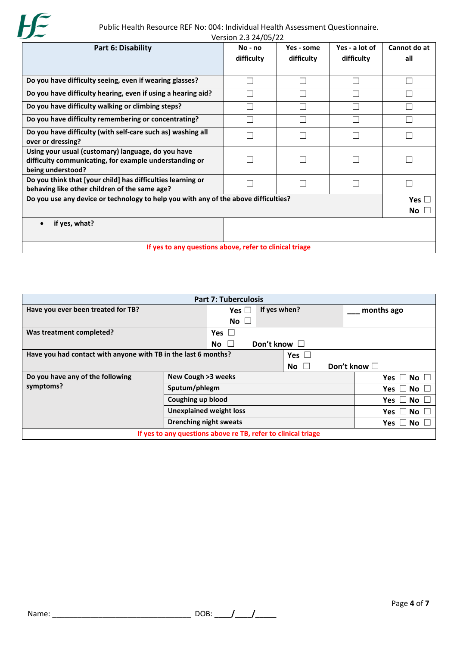

 Public Health Resource REF No: 004: Individual Health Assessment Questionnaire. Version 2.3 24/05/22

| $VersION$ 2.3 24/05/22                                                                                                            |                         |                          |                              |                     |  |
|-----------------------------------------------------------------------------------------------------------------------------------|-------------------------|--------------------------|------------------------------|---------------------|--|
| Part 6: Disability                                                                                                                | $No - no$<br>difficulty | Yes - some<br>difficulty | Yes - a lot of<br>difficulty | Cannot do at<br>all |  |
| Do you have difficulty seeing, even if wearing glasses?                                                                           |                         |                          |                              |                     |  |
| Do you have difficulty hearing, even if using a hearing aid?                                                                      |                         |                          |                              |                     |  |
| Do you have difficulty walking or climbing steps?                                                                                 |                         |                          |                              |                     |  |
| Do you have difficulty remembering or concentrating?                                                                              |                         |                          |                              |                     |  |
| Do you have difficulty (with self-care such as) washing all<br>over or dressing?                                                  |                         |                          |                              |                     |  |
| Using your usual (customary) language, do you have<br>difficulty communicating, for example understanding or<br>being understood? |                         |                          |                              |                     |  |
| Do you think that [your child] has difficulties learning or<br>behaving like other children of the same age?                      |                         |                          |                              |                     |  |
| Do you use any device or technology to help you with any of the above difficulties?<br>Yes<br>No                                  |                         |                          |                              |                     |  |
| if yes, what?                                                                                                                     |                         |                          |                              |                     |  |
| If yes to any questions above, refer to clinical triage                                                                           |                         |                          |                              |                     |  |

| <b>Part 7: Tuberculosis</b>                                    |                               |                                |                      |                    |                  |                         |  |
|----------------------------------------------------------------|-------------------------------|--------------------------------|----------------------|--------------------|------------------|-------------------------|--|
| Have you ever been treated for TB?                             |                               | Yes $\Box$                     | If yes when?         |                    |                  | months ago              |  |
|                                                                |                               | No $\square$                   |                      |                    |                  |                         |  |
| Was treatment completed?                                       | Yes $\Box$                    |                                |                      |                    |                  |                         |  |
|                                                                |                               | No.<br>$\mathbf{L}$            | Don't know $\square$ |                    |                  |                         |  |
| Have you had contact with anyone with TB in the last 6 months? |                               |                                | Yes $\Box$           |                    |                  |                         |  |
|                                                                |                               |                                |                      | No<br>$\mathbf{1}$ |                  | Don't know $\Box$       |  |
| Do you have any of the following                               | New Cough >3 weeks            |                                |                      |                    |                  | Yes $\Box$<br><b>No</b> |  |
| symptoms?                                                      | Sputum/phlegm                 |                                |                      | <b>No</b><br>Yes   |                  |                         |  |
| Coughing up blood                                              |                               |                                |                      | Yes $\Box$ No      |                  |                         |  |
|                                                                |                               | <b>Unexplained weight loss</b> |                      |                    | <b>No</b><br>Yes |                         |  |
|                                                                | <b>Drenching night sweats</b> |                                |                      |                    | Yes<br>l No      |                         |  |
| If yes to any questions above re TB, refer to clinical triage  |                               |                                |                      |                    |                  |                         |  |
|                                                                |                               |                                |                      |                    |                  |                         |  |

Name: \_\_\_\_\_\_\_\_\_\_\_\_\_\_\_\_\_\_\_\_\_\_\_\_\_\_\_\_\_\_\_\_\_ DOB: **\_\_\_\_/\_\_\_\_/\_\_\_\_\_**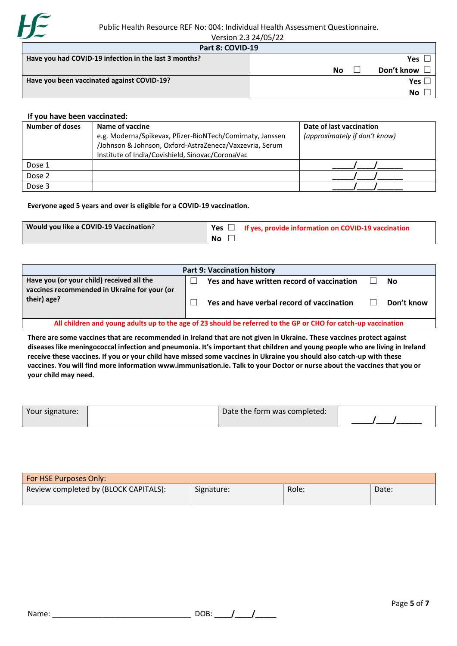

| Version 2.3 24/05/22                                  |                  |
|-------------------------------------------------------|------------------|
| Part 8: COVID-19                                      |                  |
| Have you had COVID-19 infection in the last 3 months? | <b>Yes</b>       |
|                                                       | Don't know<br>No |
| Have you been vaccinated against COVID-19?            | Yes I            |
|                                                       | No               |

#### **If you have been vaccinated:**

| <b>Number of doses</b> | Name of vaccine<br>e.g. Moderna/Spikevax, Pfizer-BioNTech/Comirnaty, Janssen<br>/Johnson & Johnson, Oxford-AstraZeneca/Vaxzevria, Serum | Date of last vaccination<br>(approximately if don't know) |
|------------------------|-----------------------------------------------------------------------------------------------------------------------------------------|-----------------------------------------------------------|
|                        | Institute of India/Covishield, Sinovac/CoronaVac                                                                                        |                                                           |
| Dose 1                 |                                                                                                                                         |                                                           |
| Dose 2                 |                                                                                                                                         |                                                           |
| Dose 3                 |                                                                                                                                         |                                                           |

#### **Everyone aged 5 years and over is eligible for a COVID-19 vaccination.**

| Would you like a COVID-19 Vaccination? | <sup>1</sup> Yes $\Box$ If yes, provide information on COVID-19 vaccination |
|----------------------------------------|-----------------------------------------------------------------------------|
|                                        | <b>No</b>                                                                   |

| <b>Part 9: Vaccination history</b>                                                                             |  |                                            |  |            |  |
|----------------------------------------------------------------------------------------------------------------|--|--------------------------------------------|--|------------|--|
| Have you (or your child) received all the<br>vaccines recommended in Ukraine for your (or                      |  | Yes and have written record of vaccination |  | No         |  |
| their) age?                                                                                                    |  | Yes and have verbal record of vaccination  |  | Don't know |  |
| All children and young adults up to the age of 23 should be referred to the GP or CHO for catch-up vaccination |  |                                            |  |            |  |

**There are some vaccines that are recommended in Ireland that are not given in Ukraine. These vaccines protect against diseases like meningococcal infection and pneumonia. It's important that children and young people who are living in Ireland receive these vaccines. If you or your child have missed some vaccines in Ukraine you should also catch-up with these vaccines. You will find more information www.immunisation.ie. Talk to your Doctor or nurse about the vaccines that you or your child may need.**

| Your signature: | Date the form was completed: |  |
|-----------------|------------------------------|--|
|                 |                              |  |

| <b>For HSE Purposes Only:</b>         |            |       |       |
|---------------------------------------|------------|-------|-------|
| Review completed by (BLOCK CAPITALS): | Signature: | Role: | Date: |

| DOB: |  |  |
|------|--|--|
|      |  |  |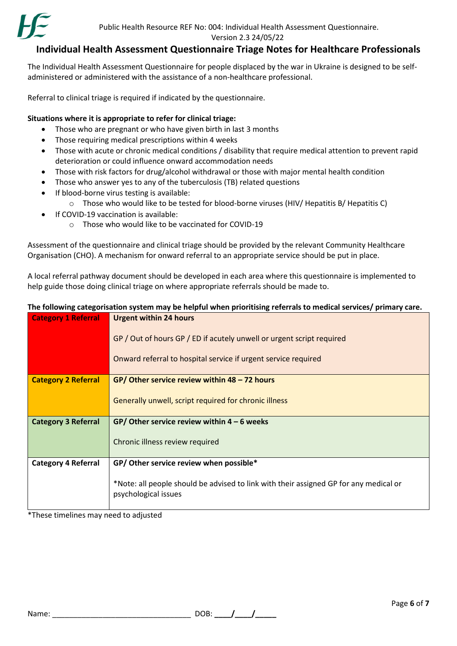

Version 2.3 24/05/22

### **Individual Health Assessment Questionnaire Triage Notes for Healthcare Professionals**

The Individual Health Assessment Questionnaire for people displaced by the war in Ukraine is designed to be selfadministered or administered with the assistance of a non-healthcare professional.

Referral to clinical triage is required if indicated by the questionnaire.

#### **Situations where it is appropriate to refer for clinical triage:**

- Those who are pregnant or who have given birth in last 3 months
- Those requiring medical prescriptions within 4 weeks
- Those with acute or chronic medical conditions / disability that require medical attention to prevent rapid deterioration or could influence onward accommodation needs
- Those with risk factors for drug/alcohol withdrawal or those with major mental health condition
- Those who answer yes to any of the tuberculosis (TB) related questions
- If blood-borne virus testing is available:
	- o Those who would like to be tested for blood-borne viruses (HIV/ Hepatitis B/ Hepatitis C)
- If COVID-19 vaccination is available:
	- o Those who would like to be vaccinated for COVID-19

Assessment of the questionnaire and clinical triage should be provided by the relevant Community Healthcare Organisation (CHO). A mechanism for onward referral to an appropriate service should be put in place.

A local referral pathway document should be developed in each area where this questionnaire is implemented to help guide those doing clinical triage on where appropriate referrals should be made to.

# **The following categorisation system may be helpful when prioritising referrals to medical services/ primary care.**

| <b>Category 1 Referral</b> | <b>Urgent within 24 hours</b>                                                                                 |  |  |  |  |  |
|----------------------------|---------------------------------------------------------------------------------------------------------------|--|--|--|--|--|
|                            | GP / Out of hours GP / ED if acutely unwell or urgent script required                                         |  |  |  |  |  |
|                            | Onward referral to hospital service if urgent service required                                                |  |  |  |  |  |
| <b>Category 2 Referral</b> | GP/ Other service review within $48 - 72$ hours                                                               |  |  |  |  |  |
|                            | Generally unwell, script required for chronic illness                                                         |  |  |  |  |  |
| <b>Category 3 Referral</b> | GP/ Other service review within $4 - 6$ weeks                                                                 |  |  |  |  |  |
|                            | Chronic illness review required                                                                               |  |  |  |  |  |
| <b>Category 4 Referral</b> | GP/ Other service review when possible*                                                                       |  |  |  |  |  |
|                            | *Note: all people should be advised to link with their assigned GP for any medical or<br>psychological issues |  |  |  |  |  |

\*These timelines may need to adjusted

Name: \_\_\_\_\_\_\_\_\_\_\_\_\_\_\_\_\_\_\_\_\_\_\_\_\_\_\_\_\_\_\_\_\_ DOB: **\_\_\_\_/\_\_\_\_/\_\_\_\_\_**